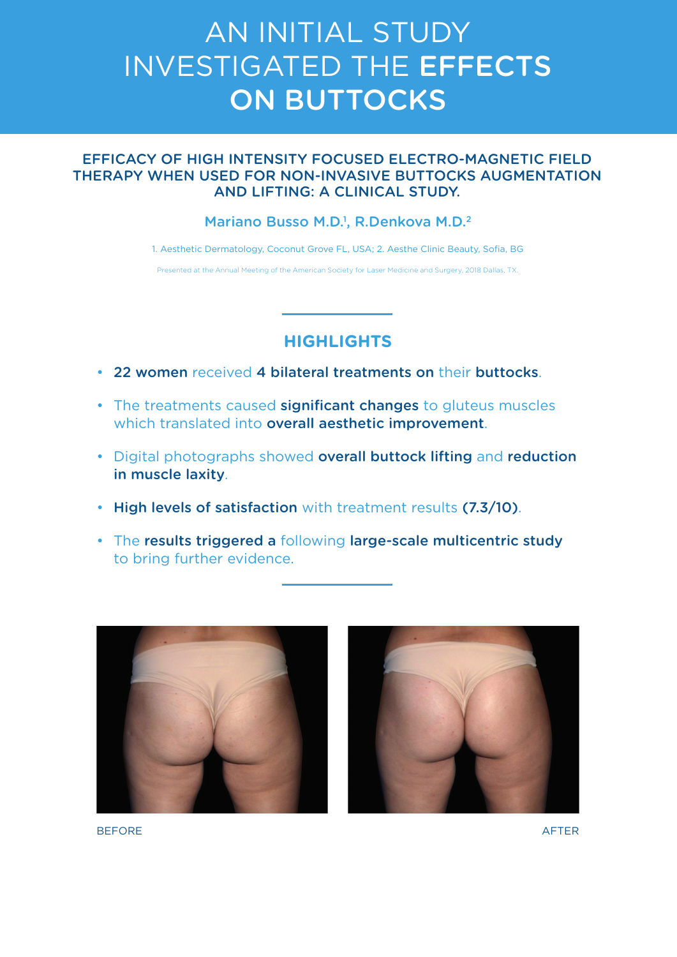# AN INITIAL STUDY INVESTIGATED THE EFFECTS **ON BUTTOCKS**

### EFFICACY OF HIGH INTENSITY FOCUSED ELECTRO-MAGNETIC FIELD THERAPY WHEN USED FOR NON-INVASIVE BUTTOCKS AUGMENTATION AND LIFTING: A CLINICAL STUDY.

#### Mariano Busso M.D.<sup>1</sup>, R.Denkova M.D.<sup>2</sup>

1. Aesthetic Dermatology, Coconut Grove FL, USA; 2. Aesthe Clinic Beauty, Sofia, BG

Presented at the Annual Meeting of the American Society for Laser Medicine and Surgery, 2018 Dallas, TX.

# **HIGHLIGHTS**

- 22 women received 4 bilateral treatments on their buttocks.
- The treatments caused significant changes to gluteus muscles which translated into overall aesthetic improvement.
- Digital photographs showed overall buttock lifting and reduction in muscle laxity.
- High levels of satisfaction with treatment results (7.3/10).
- The results triggered a following large-scale multicentric study to bring further evidence.





BEFORE AFTER